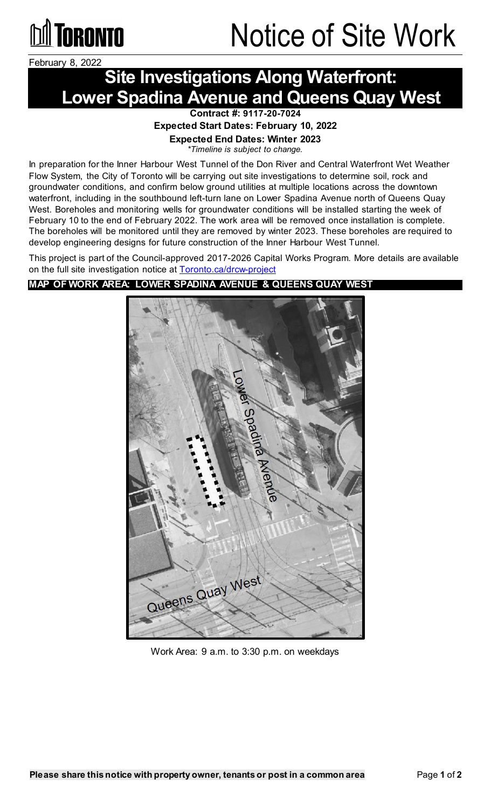

## **TORONTO** Notice of Site Work

February 8, 2022

## **Site Investigations Along Waterfront: Lower Spadina Avenue and Queens Quay West**

**Contract #: 9117-20-7024**

**Expected Start Dates: February 10, 2022**

**Expected End Dates: Winter 2023**

*\*Timeline is subject to change.*

In preparation for the Inner Harbour West Tunnel of the Don River and Central Waterfront Wet Weather Flow System, the City of Toronto will be carrying out site investigations to determine soil, rock and groundwater conditions, and confirm below ground utilities at multiple locations across the downtown waterfront, including in the southbound left-turn lane on Lower Spadina Avenue north of Queens Quay West. Boreholes and monitoring wells for groundwater conditions will be installed starting the week of February 10 to the end of February 2022. The work area will be removed once installation is complete. The boreholes will be monitored until they are removed by winter 2023. These boreholes are required to develop engineering designs for future construction of the Inner Harbour West Tunnel.

This project is part of the Council-approved 2017-2026 Capital Works Program. More details are available on the full site investigation notice at [Toronto.ca/drcw-project](http://www.toronto.ca/drcw-project)

### **MAP OF WORK AREA: LOWER SPADINA AVENUE & QUEENS QUAY WEST**



Work Area: 9 a.m. to 3:30 p.m. on weekdays